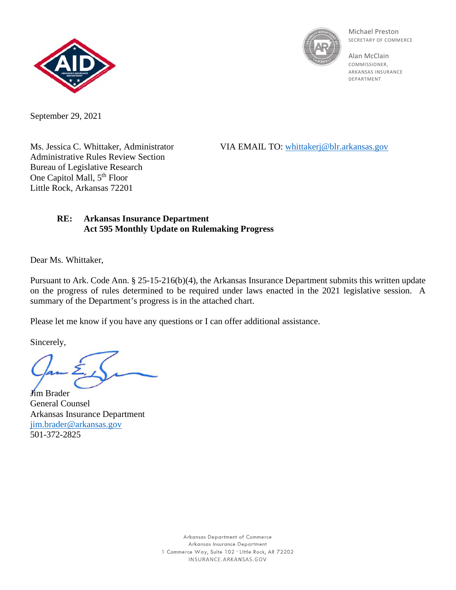



Michael Preston SECRETARY OF COMMERCE

Alan McClain COMMISSIONER, ARKANSAS INSURANCE DEPARTMENT

September 29, 2021

Ms. Jessica C. Whittaker, Administrator VIA EMAIL TO: [whittakerj@blr.arkansas.gov](mailto:whittakerj@blr.arkansas.gov)

Administrative Rules Review Section Bureau of Legislative Research One Capitol Mall, 5<sup>th</sup> Floor Little Rock, Arkansas 72201

## **RE: Arkansas Insurance Department Act 595 Monthly Update on Rulemaking Progress**

Dear Ms. Whittaker,

Pursuant to Ark. Code Ann. § 25-15-216(b)(4), the Arkansas Insurance Department submits this written update on the progress of rules determined to be required under laws enacted in the 2021 legislative session. A summary of the Department's progress is in the attached chart.

Please let me know if you have any questions or I can offer additional assistance.

Sincerely,

**J**<sub>im</sub> Brader

General Counsel Arkansas Insurance Department [jim.brader@arkansas.gov](mailto:jim.brader@arkansas.gov) 501-372-2825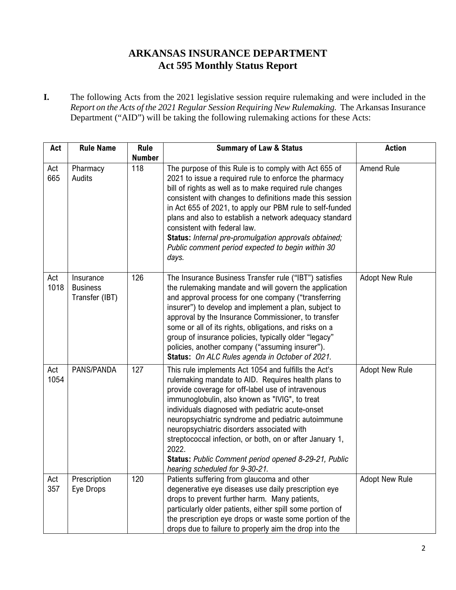## **ARKANSAS INSURANCE DEPARTMENT Act 595 Monthly Status Report**

**I.** The following Acts from the 2021 legislative session require rulemaking and were included in the *Report on the Acts of the 2021 Regular Session Requiring New Rulemaking.* The Arkansas Insurance Department ("AID") will be taking the following rulemaking actions for these Acts:

| Act         | <b>Rule Name</b>                               | <b>Rule</b>   | <b>Summary of Law &amp; Status</b>                                                                                                                                                                                                                                                                                                                                                                                                                                                                                                        | <b>Action</b>         |
|-------------|------------------------------------------------|---------------|-------------------------------------------------------------------------------------------------------------------------------------------------------------------------------------------------------------------------------------------------------------------------------------------------------------------------------------------------------------------------------------------------------------------------------------------------------------------------------------------------------------------------------------------|-----------------------|
|             |                                                | <b>Number</b> |                                                                                                                                                                                                                                                                                                                                                                                                                                                                                                                                           |                       |
| Act<br>665  | Pharmacy<br>Audits                             | 118           | The purpose of this Rule is to comply with Act 655 of<br>2021 to issue a required rule to enforce the pharmacy<br>bill of rights as well as to make required rule changes<br>consistent with changes to definitions made this session<br>in Act 655 of 2021, to apply our PBM rule to self-funded<br>plans and also to establish a network adequacy standard<br>consistent with federal law.<br>Status: Internal pre-promulgation approvals obtained;<br>Public comment period expected to begin within 30<br>days.                       | Amend Rule            |
| Act<br>1018 | Insurance<br><b>Business</b><br>Transfer (IBT) | 126           | The Insurance Business Transfer rule ("IBT") satisfies<br>the rulemaking mandate and will govern the application<br>and approval process for one company ("transferring<br>insurer") to develop and implement a plan, subject to<br>approval by the Insurance Commissioner, to transfer<br>some or all of its rights, obligations, and risks on a<br>group of insurance policies, typically older "legacy"<br>policies, another company ("assuming insurer").<br>Status: On ALC Rules agenda in October of 2021.                          | <b>Adopt New Rule</b> |
| Act<br>1054 | PANS/PANDA                                     | 127           | This rule implements Act 1054 and fulfills the Act's<br>rulemaking mandate to AID. Requires health plans to<br>provide coverage for off-label use of intravenous<br>immunoglobulin, also known as "IVIG", to treat<br>individuals diagnosed with pediatric acute-onset<br>neuropsychiatric syndrome and pediatric autoimmune<br>neuropsychiatric disorders associated with<br>streptococcal infection, or both, on or after January 1,<br>2022.<br>Status: Public Comment period opened 8-29-21, Public<br>hearing scheduled for 9-30-21. | <b>Adopt New Rule</b> |
| Act<br>357  | Prescription<br>Eye Drops                      | 120           | Patients suffering from glaucoma and other<br>degenerative eye diseases use daily prescription eye<br>drops to prevent further harm. Many patients,<br>particularly older patients, either spill some portion of<br>the prescription eye drops or waste some portion of the<br>drops due to failure to properly aim the drop into the                                                                                                                                                                                                     | <b>Adopt New Rule</b> |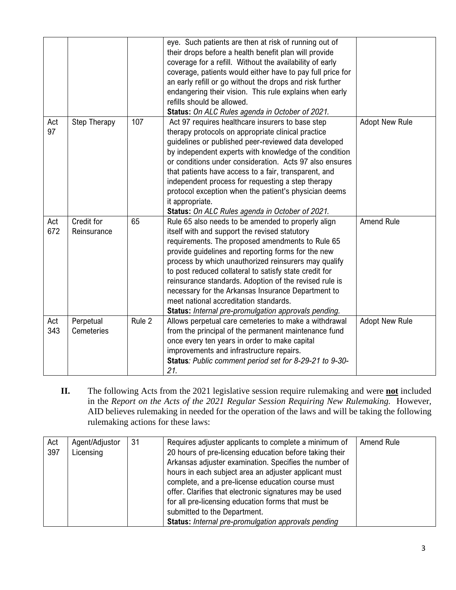|            |                                |        | eye. Such patients are then at risk of running out of<br>their drops before a health benefit plan will provide<br>coverage for a refill. Without the availability of early<br>coverage, patients would either have to pay full price for<br>an early refill or go without the drops and risk further<br>endangering their vision. This rule explains when early<br>refills should be allowed.<br>Status: On ALC Rules agenda in October of 2021.                                                                                                         |                       |
|------------|--------------------------------|--------|----------------------------------------------------------------------------------------------------------------------------------------------------------------------------------------------------------------------------------------------------------------------------------------------------------------------------------------------------------------------------------------------------------------------------------------------------------------------------------------------------------------------------------------------------------|-----------------------|
| Act<br>97  | Step Therapy                   | 107    | Act 97 requires healthcare insurers to base step<br>therapy protocols on appropriate clinical practice<br>guidelines or published peer-reviewed data developed<br>by independent experts with knowledge of the condition<br>or conditions under consideration. Acts 97 also ensures<br>that patients have access to a fair, transparent, and<br>independent process for requesting a step therapy<br>protocol exception when the patient's physician deems<br>it appropriate.<br>Status: On ALC Rules agenda in October of 2021.                         | <b>Adopt New Rule</b> |
| Act<br>672 | Credit for<br>Reinsurance      | 65     | Rule 65 also needs to be amended to properly align<br>itself with and support the revised statutory<br>requirements. The proposed amendments to Rule 65<br>provide guidelines and reporting forms for the new<br>process by which unauthorized reinsurers may qualify<br>to post reduced collateral to satisfy state credit for<br>reinsurance standards. Adoption of the revised rule is<br>necessary for the Arkansas Insurance Department to<br>meet national accreditation standards.<br><b>Status:</b> Internal pre-promulgation approvals pending. | <b>Amend Rule</b>     |
| Act<br>343 | Perpetual<br><b>Cemeteries</b> | Rule 2 | Allows perpetual care cemeteries to make a withdrawal<br>from the principal of the permanent maintenance fund<br>once every ten years in order to make capital<br>improvements and infrastructure repairs.<br>Status: Public comment period set for 8-29-21 to 9-30-<br>21.                                                                                                                                                                                                                                                                              | <b>Adopt New Rule</b> |

**II.** The following Acts from the 2021 legislative session require rulemaking and were **not** included in the *Report on the Acts of the 2021 Regular Session Requiring New Rulemaking.* However, AID believes rulemaking in needed for the operation of the laws and will be taking the following rulemaking actions for these laws:

| Act | Agent/Adjustor | 31 | Requires adjuster applicants to complete a minimum of      | Amend Rule |
|-----|----------------|----|------------------------------------------------------------|------------|
| 397 | Licensing      |    | 20 hours of pre-licensing education before taking their    |            |
|     |                |    | Arkansas adjuster examination. Specifies the number of     |            |
|     |                |    | hours in each subject area an adjuster applicant must      |            |
|     |                |    | complete, and a pre-license education course must          |            |
|     |                |    | offer. Clarifies that electronic signatures may be used    |            |
|     |                |    | for all pre-licensing education forms that must be         |            |
|     |                |    | submitted to the Department.                               |            |
|     |                |    | <b>Status:</b> Internal pre-promulgation approvals pending |            |